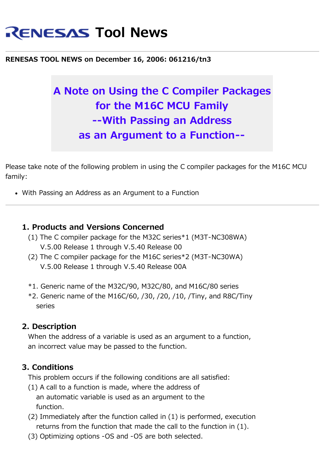# **RENESAS Tool News**

#### **RENESAS TOOL NEWS on December 16, 2006: 061216/tn3**

## **A Note on Using the C Compiler Packages for the M16C MCU Family --With Passing an Address as an Argument to a Function--**

Please take note of the following problem in using the C compiler packages for the M16C MCU family:

With Passing an Address as an Argument to a Function

#### **1. Products and Versions Concerned**

- (1) The C compiler package for the M32C series\*1 (M3T-NC308WA) V.5.00 Release 1 through V.5.40 Release 00
- (2) The C compiler package for the M16C series\*2 (M3T-NC30WA) V.5.00 Release 1 through V.5.40 Release 00A
- \*1. Generic name of the M32C/90, M32C/80, and M16C/80 series
- $*2$ . Generic name of the M16C/60, /30, /20, /10, /Tiny, and R8C/Tiny series

#### **2. Description**

 When the address of a variable is used as an argument to a function, an incorrect value may be passed to the function.

#### **3. Conditions**

This problem occurs if the following conditions are all satisfied:

- (1) A call to a function is made, where the address of an automatic variable is used as an argument to the function.
- (2) Immediately after the function called in (1) is performed, execution returns from the function that made the call to the function in (1).
- (3) Optimizing options -OS and -O5 are both selected.